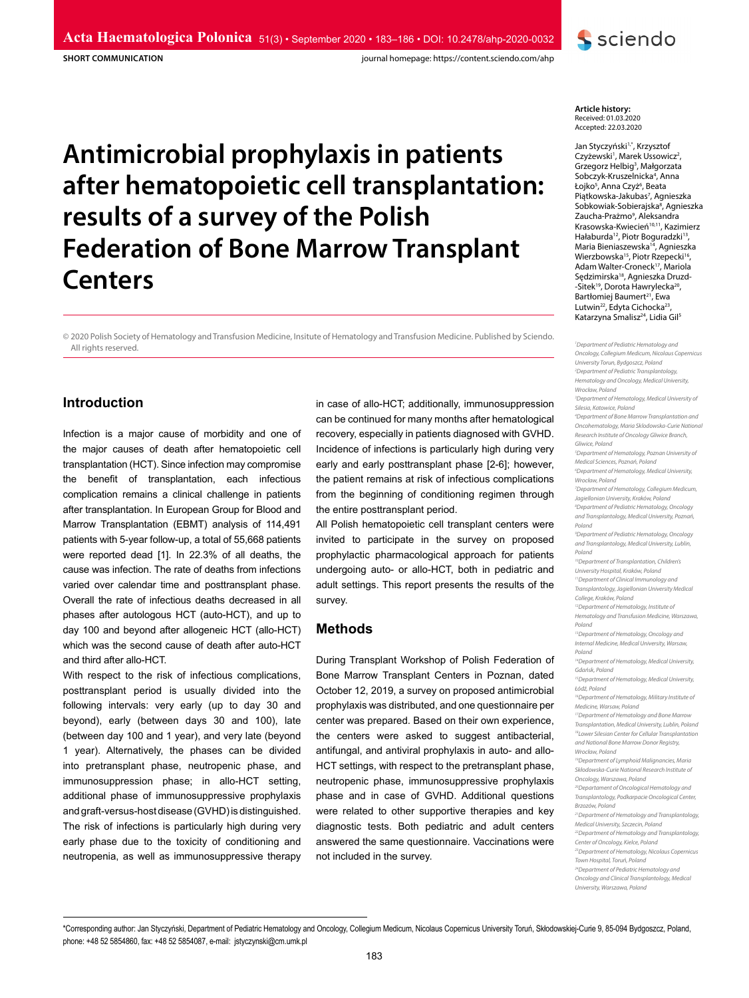**SHORT COMMUNICATION**

journal homepage: https://content.sciendo.com/ahp

# **Antimicrobial prophylaxis in patients after hematopoietic cell transplantation: results of a survey of the Polish Federation of Bone Marrow Transplant Centers**

© 2020 Polish Society of Hematology and Transfusion Medicine, Insitute of Hematology and Transfusion Medicine. Published by Sciendo. All rights reserved.

# **Introduction**

Infection is a major cause of morbidity and one of the major causes of death after hematopoietic cell transplantation (HCT). Since infection may compromise the benefit of transplantation, each infectious complication remains a clinical challenge in patients after transplantation. In European Group for Blood and Marrow Transplantation (EBMT) analysis of 114,491 patients with 5-year follow-up, a total of 55,668 patients were reported dead [1]. In 22.3% of all deaths, the cause was infection. The rate of deaths from infections varied over calendar time and posttransplant phase. Overall the rate of infectious deaths decreased in all phases after autologous HCT (auto-HCT), and up to day 100 and beyond after allogeneic HCT (allo-HCT) which was the second cause of death after auto-HCT and third after allo-HCT.

With respect to the risk of infectious complications, posttransplant period is usually divided into the following intervals: very early (up to day 30 and beyond), early (between days 30 and 100), late (between day 100 and 1 year), and very late (beyond 1 year). Alternatively, the phases can be divided into pretransplant phase, neutropenic phase, and immunosuppression phase; in allo-HCT setting, additional phase of immunosuppressive prophylaxis and graft-versus-host disease (GVHD) is distinguished. The risk of infections is particularly high during very early phase due to the toxicity of conditioning and neutropenia, as well as immunosuppressive therapy in case of allo-HCT; additionally, immunosuppression can be continued for many months after hematological recovery, especially in patients diagnosed with GVHD. Incidence of infections is particularly high during very early and early posttransplant phase [2-6]; however, the patient remains at risk of infectious complications from the beginning of conditioning regimen through the entire posttransplant period.

All Polish hematopoietic cell transplant centers were invited to participate in the survey on proposed prophylactic pharmacological approach for patients undergoing auto- or allo-HCT, both in pediatric and adult settings. This report presents the results of the survey.

# **Methods**

During Transplant Workshop of Polish Federation of Bone Marrow Transplant Centers in Poznan, dated October 12, 2019, a survey on proposed antimicrobial prophylaxis was distributed, and one questionnaire per center was prepared. Based on their own experience, the centers were asked to suggest antibacterial, antifungal, and antiviral prophylaxis in auto- and allo-HCT settings, with respect to the pretransplant phase, neutropenic phase, immunosuppressive prophylaxis phase and in case of GVHD. Additional questions were related to other supportive therapies and key diagnostic tests. Both pediatric and adult centers answered the same questionnaire. Vaccinations were not included in the survey.



**S** sciendo

Jan Styczyński<sup>1,\*</sup>, Krzysztof Czyżewski<sup>1</sup>, Marek Ussowicz<sup>2</sup>, Grzegorz Helbig<sup>3</sup>, Małgorzata Sobczyk-Kruszelnicka<sup>4</sup>, Anna Łojko<sup>s</sup>, Anna Czyż<sup>6</sup>, Beata Piątkowska-Jakubas<sup>7</sup>, Agnieszka Sobkowiak-Sobierajska<sup>8</sup>, Agnieszka Zaucha-Prażmo<sup>9</sup>, Aleksandra Krasowska-Kwiecień<sup>10,11</sup>, Kazimierz Hałaburda<sup>12</sup>, Piotr Boguradzki<sup>13</sup> Maria Bieniaszewska14, Agnieszka Wierzbowska<sup>15</sup>, Piotr Rzepecki<sup>16</sup>, Adam Walter-Croneck17, Mariola Sędzimirska18, Agnieszka Druzd- -Sitek19, Dorota Hawrylecka20, Bartłomiej Baumert<sup>21</sup>, Ewa Lutwin<sup>22</sup>, Edyta Cichocka<sup>23</sup> Katarzyna Smalisz<sup>24</sup>, Lidia Gil<sup>5</sup>

*1 Department of Pediatric Hematology and Oncology, Collegium Medicum, Nicolaus Copernicus University Torun, Bydgoszcz, Poland 2 Department of Pediatric Transplantology, Hematology and Oncology, Medical University, Wrocław, Poland 3 Department of Hematology, Medical University of Silesia, Katowice, Poland 4 Department of Bone Marrow Transplantation and Oncohematology, Maria Sklodowska-Curie National Research Institute of Oncology Gliwice Branch, Gliwice, Poland 5 Department of Hematology, Poznan University of Medical Sciences, Poznań, Poland 6 Department of Hematology, Medical University, Wrocław, Poland 7 Department of Hematology, Collegium Medicum, Jagiellonian University, Kraków, Poland 8 Department of Pediatric Hematology, Oncology and Transplantology, Medical University, Poznań, Poland 9 Department of Pediatric Hematology, Oncology and Transplantology, Medical University, Lublin, Poland 10Department of Transplantation, Children's University Hospital, Kraków, Poland*

*11Department of Clinical Immunology and Transplantology, Jagiellonian University Medical College, Kraków, Poland*

*12Department of Hematology, Institute of Hematology and Transfusion Medicine, Warszawa, Poland*

*13Department of Hematology, Oncology and Internal Medicine, Medical University, Warsaw,* 

*Poland 14Department of Hematology, Medical University, Gdańsk, Poland*

*15Department of Hematology, Medical University, Łódź, Poland*

*16Department of Hematology, Military Institute of Medicine, Warsaw, Poland*

*17Department of Hematology and Bone Marrow Transplantation, Medical University, Lublin, Poland 18Lower Silesian Center for Cellular Transplantation and National Bone Marrow Donor Registry,* 

*Wrocław, Poland 19Department of Lymphoid Malignancies, Maria Skłodowska-Curie National Research Institute of* 

*Oncology, Warszawa, Poland*

*20Departament of Oncological Hematology and Transplantology, Podkarpacie Oncological Center, Brzozów, Poland*

*21Department of Hematology and Transplantology, Medical University, Szczecin, Poland*

*22Department of Hematology and Transplantology,* 

*Center of Oncology, Kielce, Poland 23Department of Hematology, Nicolaus Copernicus* 

*Town Hospital, Toruń, Poland*

*24Department of Pediatric Hematology and Oncology and Clinical Transplantology, Medical* 

*University, Warszawa, Poland*

\*Corresponding author: Jan Styczyński, Department of Pediatric Hematology and Oncology, Collegium Medicum, Nicolaus Copernicus University Toruń, Skłodowskiej-Curie 9, 85-094 Bydgoszcz, Poland, phone: +48 52 5854860, fax: +48 52 5854087, e-mail: jstyczynski@cm.umk.pl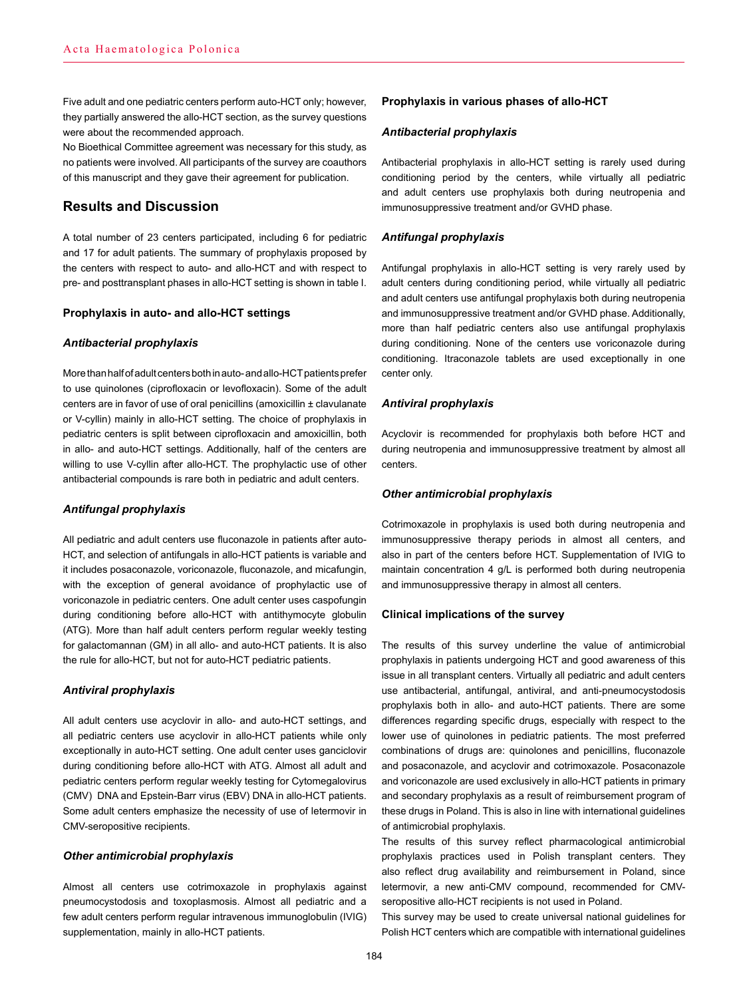Five adult and one pediatric centers perform auto-HCT only; however, they partially answered the allo-HCT section, as the survey questions were about the recommended approach.

No Bioethical Committee agreement was necessary for this study, as no patients were involved. All participants of the survey are coauthors of this manuscript and they gave their agreement for publication.

# **Results and Discussion**

A total number of 23 centers participated, including 6 for pediatric and 17 for adult patients. The summary of prophylaxis proposed by the centers with respect to auto- and allo-HCT and with respect to pre- and posttransplant phases in allo-HCT setting is shown in table I.

## **Prophylaxis in auto- and allo-HCT settings**

## *Antibacterial prophylaxis*

More than half of adult centers both in auto- and allo-HCT patients prefer to use quinolones (ciprofloxacin or levofloxacin). Some of the adult centers are in favor of use of oral penicillins (amoxicillin ± clavulanate or V-cyllin) mainly in allo-HCT setting. The choice of prophylaxis in pediatric centers is split between ciprofloxacin and amoxicillin, both in allo- and auto-HCT settings. Additionally, half of the centers are willing to use V-cyllin after allo-HCT. The prophylactic use of other antibacterial compounds is rare both in pediatric and adult centers.

## *Antifungal prophylaxis*

All pediatric and adult centers use fluconazole in patients after auto-HCT, and selection of antifungals in allo-HCT patients is variable and it includes posaconazole, voriconazole, fluconazole, and micafungin, with the exception of general avoidance of prophylactic use of voriconazole in pediatric centers. One adult center uses caspofungin during conditioning before allo-HCT with antithymocyte globulin (ATG). More than half adult centers perform regular weekly testing for galactomannan (GM) in all allo- and auto-HCT patients. It is also the rule for allo-HCT, but not for auto-HCT pediatric patients.

# *Antiviral prophylaxis*

All adult centers use acyclovir in allo- and auto-HCT settings, and all pediatric centers use acyclovir in allo-HCT patients while only exceptionally in auto-HCT setting. One adult center uses ganciclovir during conditioning before allo-HCT with ATG. Almost all adult and pediatric centers perform regular weekly testing for Cytomegalovirus (CMV) DNA and Epstein-Barr virus (EBV) DNA in allo-HCT patients. Some adult centers emphasize the necessity of use of letermovir in CMV-seropositive recipients.

## *Other antimicrobial prophylaxis*

Almost all centers use cotrimoxazole in prophylaxis against pneumocystodosis and toxoplasmosis. Almost all pediatric and a few adult centers perform regular intravenous immunoglobulin (IVIG) supplementation, mainly in allo-HCT patients.

# **Prophylaxis in various phases of allo-HCT**

# *Antibacterial prophylaxis*

Antibacterial prophylaxis in allo-HCT setting is rarely used during conditioning period by the centers, while virtually all pediatric and adult centers use prophylaxis both during neutropenia and immunosuppressive treatment and/or GVHD phase.

# *Antifungal prophylaxis*

Antifungal prophylaxis in allo-HCT setting is very rarely used by adult centers during conditioning period, while virtually all pediatric and adult centers use antifungal prophylaxis both during neutropenia and immunosuppressive treatment and/or GVHD phase. Additionally, more than half pediatric centers also use antifungal prophylaxis during conditioning. None of the centers use voriconazole during conditioning. Itraconazole tablets are used exceptionally in one center only.

# *Antiviral prophylaxis*

Acyclovir is recommended for prophylaxis both before HCT and during neutropenia and immunosuppressive treatment by almost all centers.

## *Other antimicrobial prophylaxis*

Cotrimoxazole in prophylaxis is used both during neutropenia and immunosuppressive therapy periods in almost all centers, and also in part of the centers before HCT. Supplementation of IVIG to maintain concentration 4 g/L is performed both during neutropenia and immunosuppressive therapy in almost all centers.

## **Clinical implications of the survey**

The results of this survey underline the value of antimicrobial prophylaxis in patients undergoing HCT and good awareness of this issue in all transplant centers. Virtually all pediatric and adult centers use antibacterial, antifungal, antiviral, and anti-pneumocystodosis prophylaxis both in allo- and auto-HCT patients. There are some differences regarding specific drugs, especially with respect to the lower use of quinolones in pediatric patients. The most preferred combinations of drugs are: quinolones and penicillins, fluconazole and posaconazole, and acyclovir and cotrimoxazole. Posaconazole and voriconazole are used exclusively in allo-HCT patients in primary and secondary prophylaxis as a result of reimbursement program of these drugs in Poland. This is also in line with international guidelines of antimicrobial prophylaxis.

The results of this survey reflect pharmacological antimicrobial prophylaxis practices used in Polish transplant centers. They also reflect drug availability and reimbursement in Poland, since letermovir, a new anti-CMV compound, recommended for CMVseropositive allo-HCT recipients is not used in Poland.

This survey may be used to create universal national guidelines for Polish HCT centers which are compatible with international guidelines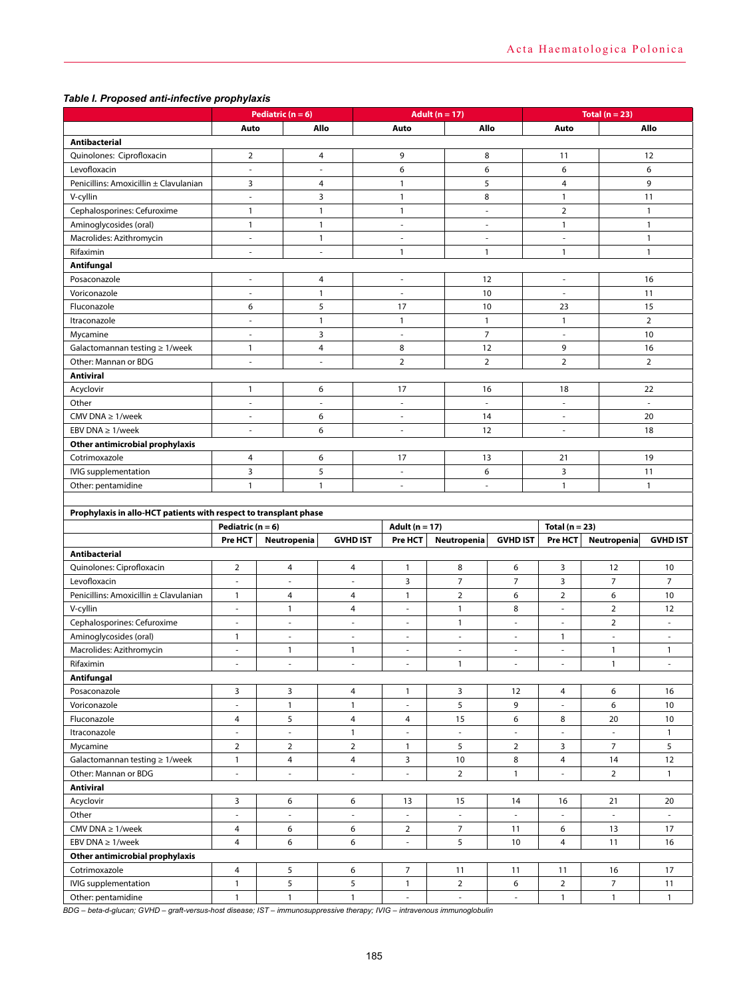# *Table I. Proposed anti-infective prophylaxis*

| Allo<br>Auto<br>Allo<br>Auto<br>Auto<br>Allo<br>Antibacterial<br>Quinolones: Ciprofloxacin<br>$\overline{2}$<br>9<br>8<br>12<br>4<br>11<br>6<br>Levofloxacin<br>6<br>6<br>6<br>÷,<br>÷,<br>$\mathbf{1}$<br>Penicillins: Amoxicillin ± Clavulanian<br>3<br>5<br>$\overline{4}$<br>9<br>4<br>3<br>$\mathbf{1}$<br>8<br>$\mathbf{1}$<br>11<br>V-cyllin<br>$\overline{\phantom{a}}$<br>$\overline{2}$<br>Cephalosporines: Cefuroxime<br>$\mathbf{1}$<br>$\mathbf{1}$<br>$\mathbf{1}$<br>$\mathbf{1}$<br>ä,<br>Aminoglycosides (oral)<br>$\mathbf{1}$<br>$\mathbf{1}$<br>$\mathbf{1}$<br>$\mathbf{1}$<br>$\overline{\phantom{a}}$<br>$\overline{\phantom{a}}$<br>Macrolides: Azithromycin<br>$\mathbf{1}$<br>1<br>$\overline{\phantom{a}}$<br>÷<br>$\overline{\phantom{a}}$<br>$\overline{\phantom{a}}$<br>$\mathbf{1}$<br>$\mathbf{1}$<br>$\mathbf{1}$<br>$\mathbf{1}$<br>Rifaximin<br>ä,<br>×,<br>Antifungal<br>12<br>16<br>Posaconazole<br>4<br>$\sim$<br>$\sim$<br>÷,<br>10<br>11<br>Voriconazole<br>$\mathbf{1}$<br>$\overline{\phantom{a}}$<br>$\overline{\phantom{a}}$<br>$\overline{\phantom{a}}$<br>5<br>15<br>Fluconazole<br>6<br>17<br>10<br>23 |
|-------------------------------------------------------------------------------------------------------------------------------------------------------------------------------------------------------------------------------------------------------------------------------------------------------------------------------------------------------------------------------------------------------------------------------------------------------------------------------------------------------------------------------------------------------------------------------------------------------------------------------------------------------------------------------------------------------------------------------------------------------------------------------------------------------------------------------------------------------------------------------------------------------------------------------------------------------------------------------------------------------------------------------------------------------------------------------------------------------------------------------------------------------|
|                                                                                                                                                                                                                                                                                                                                                                                                                                                                                                                                                                                                                                                                                                                                                                                                                                                                                                                                                                                                                                                                                                                                                       |
|                                                                                                                                                                                                                                                                                                                                                                                                                                                                                                                                                                                                                                                                                                                                                                                                                                                                                                                                                                                                                                                                                                                                                       |
|                                                                                                                                                                                                                                                                                                                                                                                                                                                                                                                                                                                                                                                                                                                                                                                                                                                                                                                                                                                                                                                                                                                                                       |
|                                                                                                                                                                                                                                                                                                                                                                                                                                                                                                                                                                                                                                                                                                                                                                                                                                                                                                                                                                                                                                                                                                                                                       |
|                                                                                                                                                                                                                                                                                                                                                                                                                                                                                                                                                                                                                                                                                                                                                                                                                                                                                                                                                                                                                                                                                                                                                       |
|                                                                                                                                                                                                                                                                                                                                                                                                                                                                                                                                                                                                                                                                                                                                                                                                                                                                                                                                                                                                                                                                                                                                                       |
|                                                                                                                                                                                                                                                                                                                                                                                                                                                                                                                                                                                                                                                                                                                                                                                                                                                                                                                                                                                                                                                                                                                                                       |
|                                                                                                                                                                                                                                                                                                                                                                                                                                                                                                                                                                                                                                                                                                                                                                                                                                                                                                                                                                                                                                                                                                                                                       |
|                                                                                                                                                                                                                                                                                                                                                                                                                                                                                                                                                                                                                                                                                                                                                                                                                                                                                                                                                                                                                                                                                                                                                       |
|                                                                                                                                                                                                                                                                                                                                                                                                                                                                                                                                                                                                                                                                                                                                                                                                                                                                                                                                                                                                                                                                                                                                                       |
|                                                                                                                                                                                                                                                                                                                                                                                                                                                                                                                                                                                                                                                                                                                                                                                                                                                                                                                                                                                                                                                                                                                                                       |
|                                                                                                                                                                                                                                                                                                                                                                                                                                                                                                                                                                                                                                                                                                                                                                                                                                                                                                                                                                                                                                                                                                                                                       |
|                                                                                                                                                                                                                                                                                                                                                                                                                                                                                                                                                                                                                                                                                                                                                                                                                                                                                                                                                                                                                                                                                                                                                       |
|                                                                                                                                                                                                                                                                                                                                                                                                                                                                                                                                                                                                                                                                                                                                                                                                                                                                                                                                                                                                                                                                                                                                                       |
| $\mathbf{1}$<br>$\mathbf{1}$<br>$\mathbf{1}$<br>$\overline{2}$<br>Itraconazole<br>$\mathbf{1}$<br>$\sim$                                                                                                                                                                                                                                                                                                                                                                                                                                                                                                                                                                                                                                                                                                                                                                                                                                                                                                                                                                                                                                              |
| $\overline{7}$<br>3<br>10<br>Mycamine<br>÷.<br>$\overline{\phantom{a}}$<br>÷.                                                                                                                                                                                                                                                                                                                                                                                                                                                                                                                                                                                                                                                                                                                                                                                                                                                                                                                                                                                                                                                                         |
| 8<br>16<br>12<br>9<br>Galactomannan testing $\geq 1$ /week<br>$\mathbf{1}$<br>4                                                                                                                                                                                                                                                                                                                                                                                                                                                                                                                                                                                                                                                                                                                                                                                                                                                                                                                                                                                                                                                                       |
| ÷,<br>$\overline{2}$<br>$\overline{2}$<br>$\overline{2}$<br>$\overline{2}$<br>Other: Mannan or BDG<br>$\bar{\phantom{a}}$                                                                                                                                                                                                                                                                                                                                                                                                                                                                                                                                                                                                                                                                                                                                                                                                                                                                                                                                                                                                                             |
| <b>Antiviral</b>                                                                                                                                                                                                                                                                                                                                                                                                                                                                                                                                                                                                                                                                                                                                                                                                                                                                                                                                                                                                                                                                                                                                      |
| Acyclovir<br>$\mathbf{1}$<br>17<br>22<br>6<br>16<br>18                                                                                                                                                                                                                                                                                                                                                                                                                                                                                                                                                                                                                                                                                                                                                                                                                                                                                                                                                                                                                                                                                                |
| Other<br>$\bar{a}$<br>÷,<br>$\bar{a}$<br>$\bar{a}$<br>$\bar{a}$<br>ä,                                                                                                                                                                                                                                                                                                                                                                                                                                                                                                                                                                                                                                                                                                                                                                                                                                                                                                                                                                                                                                                                                 |
| 20<br>CMV DNA $\geq$ 1/week<br>6<br>14<br>÷.<br>÷.<br>$\sim$                                                                                                                                                                                                                                                                                                                                                                                                                                                                                                                                                                                                                                                                                                                                                                                                                                                                                                                                                                                                                                                                                          |
| 6<br>EBV DNA $\geq 1$ /week<br>12<br>18<br>$\sim$<br>÷,<br>$\overline{a}$                                                                                                                                                                                                                                                                                                                                                                                                                                                                                                                                                                                                                                                                                                                                                                                                                                                                                                                                                                                                                                                                             |
| Other antimicrobial prophylaxis                                                                                                                                                                                                                                                                                                                                                                                                                                                                                                                                                                                                                                                                                                                                                                                                                                                                                                                                                                                                                                                                                                                       |
| Cotrimoxazole<br>4<br>6<br>17<br>13<br>21<br>19                                                                                                                                                                                                                                                                                                                                                                                                                                                                                                                                                                                                                                                                                                                                                                                                                                                                                                                                                                                                                                                                                                       |
| 3<br>5<br>3<br>IVIG supplementation<br>6<br>11<br>÷.                                                                                                                                                                                                                                                                                                                                                                                                                                                                                                                                                                                                                                                                                                                                                                                                                                                                                                                                                                                                                                                                                                  |
| $\mathbf{1}$<br>$\mathbf{1}$<br>$\mathbf{1}$<br>$\mathbf{1}$<br>Other: pentamidine<br>÷,<br>$\overline{\phantom{a}}$                                                                                                                                                                                                                                                                                                                                                                                                                                                                                                                                                                                                                                                                                                                                                                                                                                                                                                                                                                                                                                  |
|                                                                                                                                                                                                                                                                                                                                                                                                                                                                                                                                                                                                                                                                                                                                                                                                                                                                                                                                                                                                                                                                                                                                                       |
| Prophylaxis in allo-HCT patients with respect to transplant phase                                                                                                                                                                                                                                                                                                                                                                                                                                                                                                                                                                                                                                                                                                                                                                                                                                                                                                                                                                                                                                                                                     |
| Adult ( $n = 17$ )<br>Total ( $n = 23$ )<br>Pediatric ( $n = 6$ )                                                                                                                                                                                                                                                                                                                                                                                                                                                                                                                                                                                                                                                                                                                                                                                                                                                                                                                                                                                                                                                                                     |
| Pre HCT<br><b>GVHD IST</b><br>Pre HCT<br>Neutropenia<br><b>GVHD IST</b><br>Pre HCT<br>Neutropenia<br><b>GVHD IST</b><br>Neutropenia                                                                                                                                                                                                                                                                                                                                                                                                                                                                                                                                                                                                                                                                                                                                                                                                                                                                                                                                                                                                                   |
|                                                                                                                                                                                                                                                                                                                                                                                                                                                                                                                                                                                                                                                                                                                                                                                                                                                                                                                                                                                                                                                                                                                                                       |
| Antibacterial                                                                                                                                                                                                                                                                                                                                                                                                                                                                                                                                                                                                                                                                                                                                                                                                                                                                                                                                                                                                                                                                                                                                         |
| $\overline{2}$<br>$\overline{4}$<br>$\mathbf{1}$<br>8<br>6<br>3<br>12<br>10<br>4                                                                                                                                                                                                                                                                                                                                                                                                                                                                                                                                                                                                                                                                                                                                                                                                                                                                                                                                                                                                                                                                      |
| Quinolones: Ciprofloxacin<br>$\overline{7}$<br>$\overline{7}$<br>$\overline{7}$<br>3<br>3<br>7<br>Levofloxacin<br>$\overline{a}$<br>$\overline{\phantom{a}}$<br>$\overline{\phantom{a}}$                                                                                                                                                                                                                                                                                                                                                                                                                                                                                                                                                                                                                                                                                                                                                                                                                                                                                                                                                              |
| $\overline{2}$<br>6<br>$\overline{2}$<br>6<br>$\overline{4}$<br>$\mathbf{1}$<br>10<br>$\mathbf{1}$<br>4                                                                                                                                                                                                                                                                                                                                                                                                                                                                                                                                                                                                                                                                                                                                                                                                                                                                                                                                                                                                                                               |
| Penicillins: Amoxicillin ± Clavulanian<br>8<br>V-cyllin<br>$\mathbf{1}$<br>4<br>$\mathbf{1}$<br>12<br>$\overline{\phantom{a}}$<br>$\overline{\phantom{a}}$<br>$\overline{\phantom{a}}$                                                                                                                                                                                                                                                                                                                                                                                                                                                                                                                                                                                                                                                                                                                                                                                                                                                                                                                                                                |
| $\overline{2}$<br>$\overline{2}$<br>$\mathbf{1}$<br>$\overline{\phantom{a}}$<br>$\overline{\phantom{a}}$<br>$\overline{\phantom{a}}$<br>$\overline{\phantom{a}}$<br>$\overline{\phantom{m}}$<br>$\overline{\phantom{a}}$<br>$\overline{\phantom{a}}$                                                                                                                                                                                                                                                                                                                                                                                                                                                                                                                                                                                                                                                                                                                                                                                                                                                                                                  |
| Cephalosporines: Cefuroxime<br>$\mathbf{1}$<br>1<br>$\overline{\phantom{a}}$<br>$\overline{\phantom{a}}$<br>$\overline{\phantom{a}}$<br>$\overline{\phantom{a}}$<br>÷,<br>×,<br>÷,                                                                                                                                                                                                                                                                                                                                                                                                                                                                                                                                                                                                                                                                                                                                                                                                                                                                                                                                                                    |
| Aminoglycosides (oral)<br>$\mathbf{1}$<br>$\mathbf{1}$<br>$\mathbf{1}$<br>$\mathbf{1}$<br>×,<br>$\sim$<br>$\sim$<br>$\sim$<br>٠                                                                                                                                                                                                                                                                                                                                                                                                                                                                                                                                                                                                                                                                                                                                                                                                                                                                                                                                                                                                                       |
| Macrolides: Azithromycin<br>$\mathbf{1}$<br>Rifaximin<br>$\mathbf{1}$<br>$\sim$<br>$\overline{\phantom{a}}$<br>$\sim$<br>ä,<br>ä,<br>٠<br>٠                                                                                                                                                                                                                                                                                                                                                                                                                                                                                                                                                                                                                                                                                                                                                                                                                                                                                                                                                                                                           |
|                                                                                                                                                                                                                                                                                                                                                                                                                                                                                                                                                                                                                                                                                                                                                                                                                                                                                                                                                                                                                                                                                                                                                       |
| Antifungal                                                                                                                                                                                                                                                                                                                                                                                                                                                                                                                                                                                                                                                                                                                                                                                                                                                                                                                                                                                                                                                                                                                                            |
| Posaconazole<br>3<br>3<br>16<br>3<br>4<br>$\mathbf{1}$<br>12<br>4<br>6<br>$\blacksquare$<br>$\sim$<br>ä,                                                                                                                                                                                                                                                                                                                                                                                                                                                                                                                                                                                                                                                                                                                                                                                                                                                                                                                                                                                                                                              |
| Voriconazole<br>5<br>$\mathbf{1}$<br>$\mathbf{1}$<br>9<br>6<br>10                                                                                                                                                                                                                                                                                                                                                                                                                                                                                                                                                                                                                                                                                                                                                                                                                                                                                                                                                                                                                                                                                     |
| Fluconazole<br>4<br>5<br>$\overline{4}$<br>$\overline{4}$<br>15<br>6<br>20<br>10<br>8<br>Itraconazole<br>$\overline{\phantom{a}}$<br>$\overline{\phantom{a}}$<br>$\overline{\phantom{a}}$<br>$\overline{\phantom{a}}$<br>$\overline{\phantom{a}}$<br>$\overline{\phantom{a}}$<br>$\overline{\phantom{a}}$                                                                                                                                                                                                                                                                                                                                                                                                                                                                                                                                                                                                                                                                                                                                                                                                                                             |
| $\mathbf{1}$<br>$\mathbf{1}$                                                                                                                                                                                                                                                                                                                                                                                                                                                                                                                                                                                                                                                                                                                                                                                                                                                                                                                                                                                                                                                                                                                          |
| $\overline{7}$<br>$\overline{2}$<br>$\overline{2}$<br>5<br>5<br>Mycamine<br>$\overline{2}$<br>$\mathbf{1}$<br>$\overline{2}$<br>3                                                                                                                                                                                                                                                                                                                                                                                                                                                                                                                                                                                                                                                                                                                                                                                                                                                                                                                                                                                                                     |
| 4<br>4<br>3<br>10<br>8<br>12<br>Galactomannan testing $\geq 1$ /week<br>$\mathbf{1}$<br>$\overline{4}$<br>14                                                                                                                                                                                                                                                                                                                                                                                                                                                                                                                                                                                                                                                                                                                                                                                                                                                                                                                                                                                                                                          |
| Other: Mannan or BDG<br>$\overline{2}$<br>$\overline{2}$<br>$\mathbf{1}$<br>$\mathbf{1}$<br>$\overline{\phantom{a}}$<br>$\overline{\phantom{a}}$<br>$\overline{\phantom{a}}$<br>$\overline{\phantom{a}}$<br>$\overline{\phantom{a}}$                                                                                                                                                                                                                                                                                                                                                                                                                                                                                                                                                                                                                                                                                                                                                                                                                                                                                                                  |
| Antiviral<br>3<br>6<br>6<br>13<br>15<br>14<br>16<br>20                                                                                                                                                                                                                                                                                                                                                                                                                                                                                                                                                                                                                                                                                                                                                                                                                                                                                                                                                                                                                                                                                                |
| Acyclovir<br>21<br>ä,<br>ä,<br>ä,<br>$\overline{\phantom{a}}$<br>$\overline{\phantom{a}}$<br>$\overline{\phantom{a}}$<br>$\sim$<br>ä,                                                                                                                                                                                                                                                                                                                                                                                                                                                                                                                                                                                                                                                                                                                                                                                                                                                                                                                                                                                                                 |
| Other                                                                                                                                                                                                                                                                                                                                                                                                                                                                                                                                                                                                                                                                                                                                                                                                                                                                                                                                                                                                                                                                                                                                                 |
| CMV DNA $\geq$ 1/week<br>$\overline{7}$<br>4<br>6<br>6<br>$\overline{2}$<br>6<br>13<br>17<br>11<br>$\sim$                                                                                                                                                                                                                                                                                                                                                                                                                                                                                                                                                                                                                                                                                                                                                                                                                                                                                                                                                                                                                                             |
| EBV DNA $\geq 1$ /week<br>6<br>6<br>5<br>$\overline{4}$<br>4<br>10<br>11<br>16                                                                                                                                                                                                                                                                                                                                                                                                                                                                                                                                                                                                                                                                                                                                                                                                                                                                                                                                                                                                                                                                        |
| Other antimicrobial prophylaxis                                                                                                                                                                                                                                                                                                                                                                                                                                                                                                                                                                                                                                                                                                                                                                                                                                                                                                                                                                                                                                                                                                                       |
| Cotrimoxazole<br>5<br>$\overline{7}$<br>4<br>11<br>17<br>6<br>11<br>11<br>16<br>5<br>5<br>IVIG supplementation<br>$\mathbf{1}$<br>$\overline{2}$<br>6<br>$\overline{2}$<br>$\overline{7}$<br>$\mathbf{1}$<br>11                                                                                                                                                                                                                                                                                                                                                                                                                                                                                                                                                                                                                                                                                                                                                                                                                                                                                                                                       |

*BDG – beta-d-glucan; GVHD – graft-versus-host disease; IST – immunosuppressive therapy; IVIG – intravenous immunoglobulin*